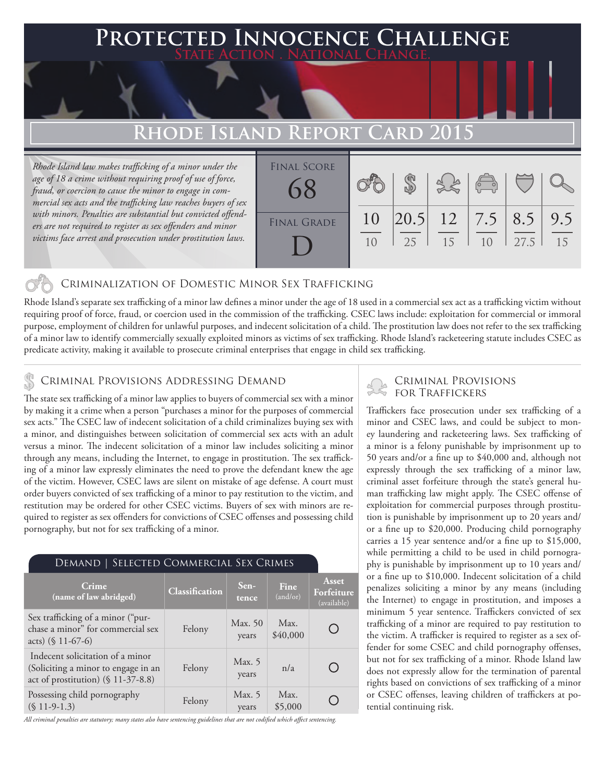### **PED INNOCENCE CHALLENGE State Action . National Change.**

## **Rhode Island Report Card 2015**

*Rhode Island law makes trafficking of a minor under the age of 18 a crime without requiring proof of use of force, fraud, or coercion to cause the minor to engage in commercial sex acts and the trafficking law reaches buyers of sex with minors. Penalties are substantial but convicted offenders are not required to register as sex offenders and minor victims face arrest and prosecution under prostitution laws.*

| <b>FINAL SCORE</b> |          |    |    | $\left  \begin{array}{c} \left\langle \leftarrow \right\rangle \ \left\langle \leftarrow \right\rangle \end{array} \right $ |      |                   |
|--------------------|----------|----|----|-----------------------------------------------------------------------------------------------------------------------------|------|-------------------|
| <b>FINAL GRADE</b> | 10<br>10 | 25 | 15 | 10                                                                                                                          | 27.5 | $\vert$ 9.5<br>15 |

### Criminalization of Domestic Minor Sex Trafficking

Rhode Island's separate sex trafficking of a minor law defines a minor under the age of 18 used in a commercial sex act as a trafficking victim without requiring proof of force, fraud, or coercion used in the commission of the trafficking. CSEC laws include: exploitation for commercial or immoral purpose, employment of children for unlawful purposes, and indecent solicitation of a child. The prostitution law does not refer to the sex trafficking of a minor law to identify commercially sexually exploited minors as victims of sex trafficking. Rhode Island's racketeering statute includes CSEC as predicate activity, making it available to prosecute criminal enterprises that engage in child sex trafficking.

## CRIMINAL PROVISIONS ADDRESSING DEMAND<br>FOR TRAFFICKERS

The state sex trafficking of a minor law applies to buyers of commercial sex with a minor by making it a crime when a person "purchases a minor for the purposes of commercial sex acts." The CSEC law of indecent solicitation of a child criminalizes buying sex with a minor, and distinguishes between solicitation of commercial sex acts with an adult versus a minor. The indecent solicitation of a minor law includes soliciting a minor through any means, including the Internet, to engage in prostitution. The sex trafficking of a minor law expressly eliminates the need to prove the defendant knew the age of the victim. However, CSEC laws are silent on mistake of age defense. A court must order buyers convicted of sex trafficking of a minor to pay restitution to the victim, and restitution may be ordered for other CSEC victims. Buyers of sex with minors are required to register as sex offenders for convictions of CSEC offenses and possessing child pornography, but not for sex trafficking of a minor.

| DEMAND   SELECTED COMMERCIAL SEX CRIMES                                                                       |                |                   |                  |                                    |  |  |  |
|---------------------------------------------------------------------------------------------------------------|----------------|-------------------|------------------|------------------------------------|--|--|--|
| Crime<br>(name of law abridged)                                                                               | Classification | Sen-<br>tence     | Fine<br>(and/or) | Asset<br>Forfeiture<br>(available) |  |  |  |
| Sex trafficking of a minor ("pur-<br>chase a minor" for commercial sex<br>acts) $(\$ 11-67-6)$                | Felony         | Max. 50<br>years  | Max.<br>\$40,000 |                                    |  |  |  |
| Indecent solicitation of a minor<br>(Soliciting a minor to engage in an<br>act of prostitution) (§ 11-37-8.8) | Felony         | Max. $5$<br>years | n/a              |                                    |  |  |  |
| Possessing child pornography<br>$(S 11-9-1.3)$                                                                | Felony         | Max. 5<br>years   | Max.<br>\$5,000  |                                    |  |  |  |

*All criminal penalties are statutory; many states also have sentencing guidelines that are not codified which affect sentencing.* 

# Criminal Provisions

Traffickers face prosecution under sex trafficking of a minor and CSEC laws, and could be subject to money laundering and racketeering laws. Sex trafficking of a minor is a felony punishable by imprisonment up to 50 years and/or a fine up to \$40,000 and, although not expressly through the sex trafficking of a minor law, criminal asset forfeiture through the state's general human trafficking law might apply. The CSEC offense of exploitation for commercial purposes through prostitution is punishable by imprisonment up to 20 years and/ or a fine up to \$20,000. Producing child pornography carries a 15 year sentence and/or a fine up to \$15,000, while permitting a child to be used in child pornography is punishable by imprisonment up to 10 years and/ or a fine up to \$10,000. Indecent solicitation of a child penalizes soliciting a minor by any means (including the Internet) to engage in prostitution, and imposes a minimum 5 year sentence. Traffickers convicted of sex trafficking of a minor are required to pay restitution to the victim. A trafficker is required to register as a sex offender for some CSEC and child pornography offenses, but not for sex trafficking of a minor. Rhode Island law does not expressly allow for the termination of parental rights based on convictions of sex trafficking of a minor or CSEC offenses, leaving children of traffickers at potential continuing risk.